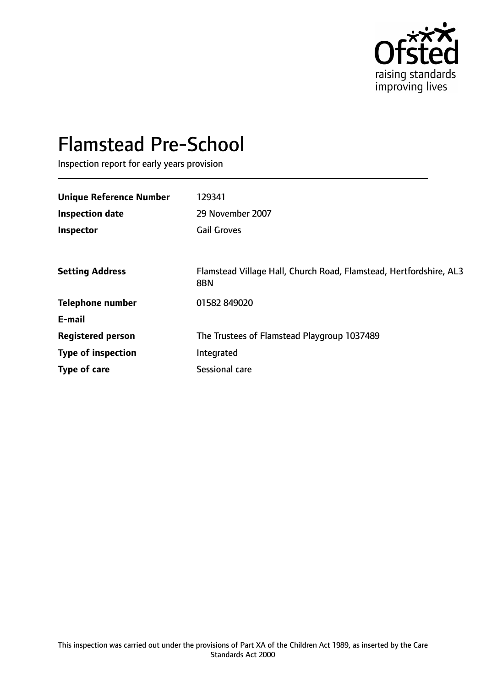

# Flamstead Pre-School

Inspection report for early years provision

| <b>Unique Reference Number</b> | 129341                                                                    |
|--------------------------------|---------------------------------------------------------------------------|
| <b>Inspection date</b>         | 29 November 2007                                                          |
| Inspector                      | <b>Gail Groves</b>                                                        |
|                                |                                                                           |
| <b>Setting Address</b>         | Flamstead Village Hall, Church Road, Flamstead, Hertfordshire, AL3<br>8BN |
| <b>Telephone number</b>        | 01582 849020                                                              |
| E-mail                         |                                                                           |
| <b>Registered person</b>       | The Trustees of Flamstead Playgroup 1037489                               |
| <b>Type of inspection</b>      | Integrated                                                                |
| Type of care                   | Sessional care                                                            |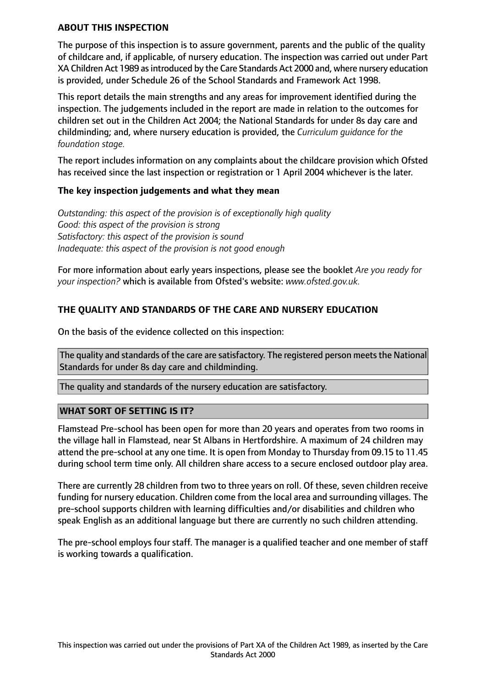#### **ABOUT THIS INSPECTION**

The purpose of this inspection is to assure government, parents and the public of the quality of childcare and, if applicable, of nursery education. The inspection was carried out under Part XA Children Act 1989 as introduced by the Care Standards Act 2000 and, where nursery education is provided, under Schedule 26 of the School Standards and Framework Act 1998.

This report details the main strengths and any areas for improvement identified during the inspection. The judgements included in the report are made in relation to the outcomes for children set out in the Children Act 2004; the National Standards for under 8s day care and childminding; and, where nursery education is provided, the *Curriculum guidance for the foundation stage.*

The report includes information on any complaints about the childcare provision which Ofsted has received since the last inspection or registration or 1 April 2004 whichever is the later.

#### **The key inspection judgements and what they mean**

*Outstanding: this aspect of the provision is of exceptionally high quality Good: this aspect of the provision is strong Satisfactory: this aspect of the provision is sound Inadequate: this aspect of the provision is not good enough*

For more information about early years inspections, please see the booklet *Are you ready for your inspection?* which is available from Ofsted's website: *www.ofsted.gov.uk.*

## **THE QUALITY AND STANDARDS OF THE CARE AND NURSERY EDUCATION**

On the basis of the evidence collected on this inspection:

The quality and standards of the care are satisfactory. The registered person meets the National Standards for under 8s day care and childminding.

The quality and standards of the nursery education are satisfactory.

#### **WHAT SORT OF SETTING IS IT?**

Flamstead Pre-school has been open for more than 20 years and operates from two rooms in the village hall in Flamstead, near St Albans in Hertfordshire. A maximum of 24 children may attend the pre-school at any one time. It is open from Monday to Thursday from 09.15 to 11.45 during school term time only. All children share access to a secure enclosed outdoor play area.

There are currently 28 children from two to three years on roll. Of these, seven children receive funding for nursery education. Children come from the local area and surrounding villages. The pre-school supports children with learning difficulties and/or disabilities and children who speak English as an additional language but there are currently no such children attending.

The pre-school employs four staff. The manager is a qualified teacher and one member of staff is working towards a qualification.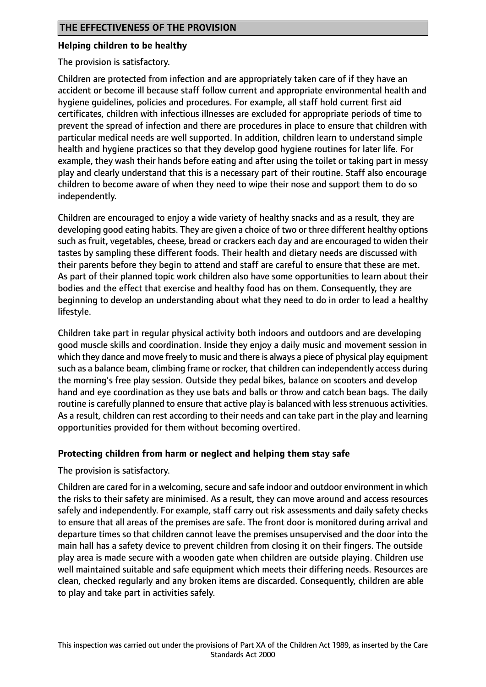#### **Helping children to be healthy**

The provision is satisfactory.

Children are protected from infection and are appropriately taken care of if they have an accident or become ill because staff follow current and appropriate environmental health and hygiene guidelines, policies and procedures. For example, all staff hold current first aid certificates, children with infectious illnesses are excluded for appropriate periods of time to prevent the spread of infection and there are procedures in place to ensure that children with particular medical needs are well supported. In addition, children learn to understand simple health and hygiene practices so that they develop good hygiene routines for later life. For example, they wash their hands before eating and after using the toilet or taking part in messy play and clearly understand that this is a necessary part of their routine. Staff also encourage children to become aware of when they need to wipe their nose and support them to do so independently.

Children are encouraged to enjoy a wide variety of healthy snacks and as a result, they are developing good eating habits. They are given a choice of two or three different healthy options such as fruit, vegetables, cheese, bread or crackers each day and are encouraged to widen their tastes by sampling these different foods. Their health and dietary needs are discussed with their parents before they begin to attend and staff are careful to ensure that these are met. As part of their planned topic work children also have some opportunities to learn about their bodies and the effect that exercise and healthy food has on them. Consequently, they are beginning to develop an understanding about what they need to do in order to lead a healthy lifestyle.

Children take part in regular physical activity both indoors and outdoors and are developing good muscle skills and coordination. Inside they enjoy a daily music and movement session in which they dance and move freely to music and there is always a piece of physical play equipment such as a balance beam, climbing frame or rocker, that children can independently access during the morning's free play session. Outside they pedal bikes, balance on scooters and develop hand and eye coordination as they use bats and balls or throw and catch bean bags. The daily routine is carefully planned to ensure that active play is balanced with less strenuous activities. As a result, children can rest according to their needs and can take part in the play and learning opportunities provided for them without becoming overtired.

#### **Protecting children from harm or neglect and helping them stay safe**

#### The provision is satisfactory.

Children are cared for in a welcoming, secure and safe indoor and outdoor environment in which the risks to their safety are minimised. As a result, they can move around and access resources safely and independently. For example, staff carry out risk assessments and daily safety checks to ensure that all areas of the premises are safe. The front door is monitored during arrival and departure times so that children cannot leave the premises unsupervised and the door into the main hall has a safety device to prevent children from closing it on their fingers. The outside play area is made secure with a wooden gate when children are outside playing. Children use well maintained suitable and safe equipment which meets their differing needs. Resources are clean, checked regularly and any broken items are discarded. Consequently, children are able to play and take part in activities safely.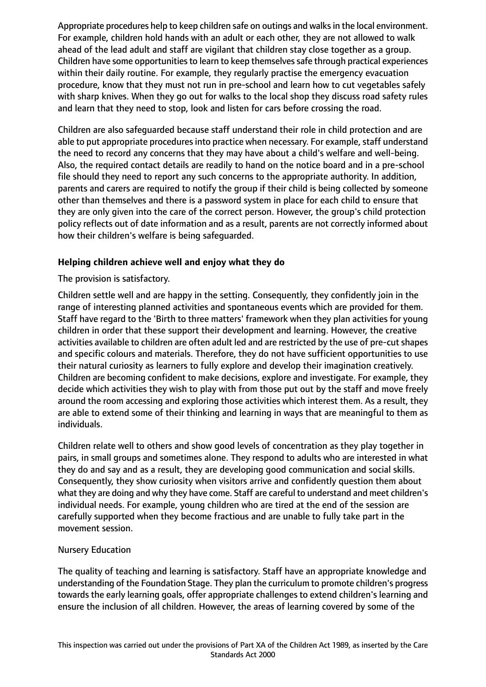Appropriate procedures help to keep children safe on outings and walks in the local environment. For example, children hold hands with an adult or each other, they are not allowed to walk ahead of the lead adult and staff are vigilant that children stay close together as a group. Children have some opportunities to learn to keep themselves safe through practical experiences within their daily routine. For example, they regularly practise the emergency evacuation procedure, know that they must not run in pre-school and learn how to cut vegetables safely with sharp knives. When they go out for walks to the local shop they discuss road safety rules and learn that they need to stop, look and listen for cars before crossing the road.

Children are also safeguarded because staff understand their role in child protection and are able to put appropriate procedures into practice when necessary. For example, staff understand the need to record any concerns that they may have about a child's welfare and well-being. Also, the required contact details are readily to hand on the notice board and in a pre-school file should they need to report any such concerns to the appropriate authority. In addition, parents and carers are required to notify the group if their child is being collected by someone other than themselves and there is a password system in place for each child to ensure that they are only given into the care of the correct person. However, the group's child protection policy reflects out of date information and as a result, parents are not correctly informed about how their children's welfare is being safeguarded.

## **Helping children achieve well and enjoy what they do**

The provision is satisfactory.

Children settle well and are happy in the setting. Consequently, they confidently join in the range of interesting planned activities and spontaneous events which are provided for them. Staff have regard to the 'Birth to three matters' framework when they plan activities for young children in order that these support their development and learning. However, the creative activities available to children are often adult led and are restricted by the use of pre-cut shapes and specific colours and materials. Therefore, they do not have sufficient opportunities to use their natural curiosity as learners to fully explore and develop their imagination creatively. Children are becoming confident to make decisions, explore and investigate. For example, they decide which activities they wish to play with from those put out by the staff and move freely around the room accessing and exploring those activities which interest them. As a result, they are able to extend some of their thinking and learning in ways that are meaningful to them as individuals.

Children relate well to others and show good levels of concentration as they play together in pairs, in small groups and sometimes alone. They respond to adults who are interested in what they do and say and as a result, they are developing good communication and social skills. Consequently, they show curiosity when visitors arrive and confidently question them about what they are doing and why they have come. Staff are careful to understand and meet children's individual needs. For example, young children who are tired at the end of the session are carefully supported when they become fractious and are unable to fully take part in the movement session.

#### Nursery Education

The quality of teaching and learning is satisfactory. Staff have an appropriate knowledge and understanding of the Foundation Stage. They plan the curriculum to promote children's progress towards the early learning goals, offer appropriate challenges to extend children's learning and ensure the inclusion of all children. However, the areas of learning covered by some of the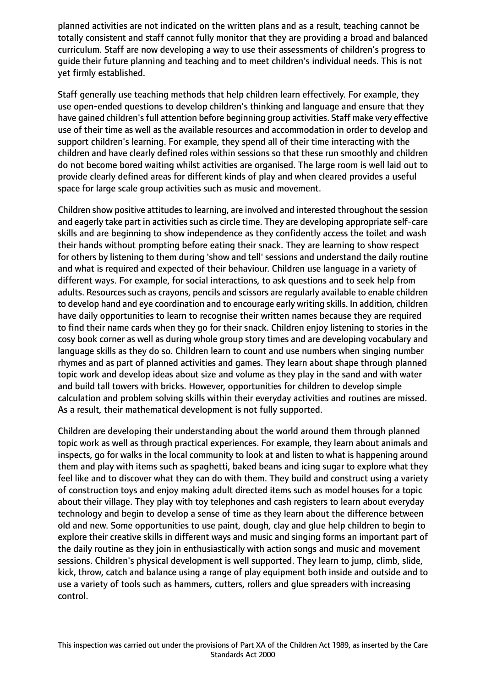planned activities are not indicated on the written plans and as a result, teaching cannot be totally consistent and staff cannot fully monitor that they are providing a broad and balanced curriculum. Staff are now developing a way to use their assessments of children's progress to guide their future planning and teaching and to meet children's individual needs. This is not yet firmly established.

Staff generally use teaching methods that help children learn effectively. For example, they use open-ended questions to develop children's thinking and language and ensure that they have gained children's full attention before beginning group activities. Staff make very effective use of their time as well as the available resources and accommodation in order to develop and support children's learning. For example, they spend all of their time interacting with the children and have clearly defined roles within sessions so that these run smoothly and children do not become bored waiting whilst activities are organised. The large room is well laid out to provide clearly defined areas for different kinds of play and when cleared provides a useful space for large scale group activities such as music and movement.

Children show positive attitudes to learning, are involved and interested throughout the session and eagerly take part in activities such as circle time. They are developing appropriate self-care skills and are beginning to show independence as they confidently access the toilet and wash their hands without prompting before eating their snack. They are learning to show respect for others by listening to them during 'show and tell' sessions and understand the daily routine and what is required and expected of their behaviour. Children use language in a variety of different ways. For example, for social interactions, to ask questions and to seek help from adults. Resources such as crayons, pencils and scissors are regularly available to enable children to develop hand and eye coordination and to encourage early writing skills. In addition, children have daily opportunities to learn to recognise their written names because they are required to find their name cards when they go for their snack. Children enjoy listening to stories in the cosy book corner as well as during whole group story times and are developing vocabulary and language skills as they do so. Children learn to count and use numbers when singing number rhymes and as part of planned activities and games. They learn about shape through planned topic work and develop ideas about size and volume as they play in the sand and with water and build tall towers with bricks. However, opportunities for children to develop simple calculation and problem solving skills within their everyday activities and routines are missed. As a result, their mathematical development is not fully supported.

Children are developing their understanding about the world around them through planned topic work as well as through practical experiences. For example, they learn about animals and inspects, go for walks in the local community to look at and listen to what is happening around them and play with items such as spaghetti, baked beans and icing sugar to explore what they feel like and to discover what they can do with them. They build and construct using a variety of construction toys and enjoy making adult directed items such as model houses for a topic about their village. They play with toy telephones and cash registers to learn about everyday technology and begin to develop a sense of time as they learn about the difference between old and new. Some opportunities to use paint, dough, clay and glue help children to begin to explore their creative skills in different ways and music and singing forms an important part of the daily routine as they join in enthusiastically with action songs and music and movement sessions. Children's physical development is well supported. They learn to jump, climb, slide, kick, throw, catch and balance using a range of play equipment both inside and outside and to use a variety of tools such as hammers, cutters, rollers and glue spreaders with increasing control.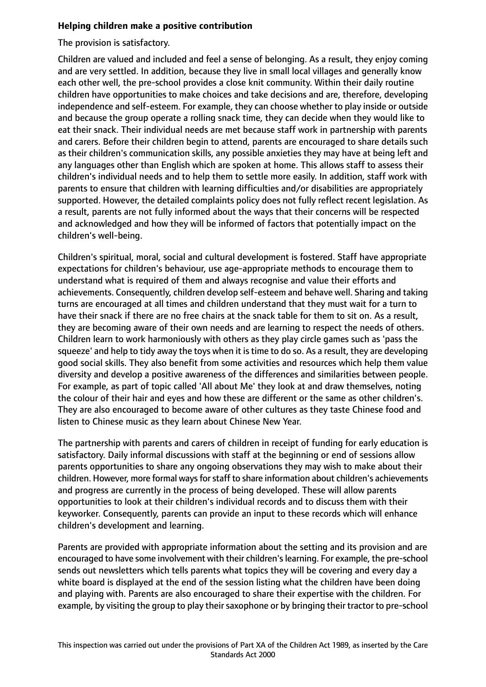## **Helping children make a positive contribution**

The provision is satisfactory.

Children are valued and included and feel a sense of belonging. As a result, they enjoy coming and are very settled. In addition, because they live in small local villages and generally know each other well, the pre-school provides a close knit community. Within their daily routine children have opportunities to make choices and take decisions and are, therefore, developing independence and self-esteem. For example, they can choose whether to play inside or outside and because the group operate a rolling snack time, they can decide when they would like to eat their snack. Their individual needs are met because staff work in partnership with parents and carers. Before their children begin to attend, parents are encouraged to share details such as their children's communication skills, any possible anxieties they may have at being left and any languages other than English which are spoken at home. This allows staff to assess their children's individual needs and to help them to settle more easily. In addition, staff work with parents to ensure that children with learning difficulties and/or disabilities are appropriately supported. However, the detailed complaints policy does not fully reflect recent legislation. As a result, parents are not fully informed about the ways that their concerns will be respected and acknowledged and how they will be informed of factors that potentially impact on the children's well-being.

Children's spiritual, moral, social and cultural development is fostered. Staff have appropriate expectations for children's behaviour, use age-appropriate methods to encourage them to understand what is required of them and always recognise and value their efforts and achievements. Consequently, children develop self-esteem and behave well. Sharing and taking turns are encouraged at all times and children understand that they must wait for a turn to have their snack if there are no free chairs at the snack table for them to sit on. As a result, they are becoming aware of their own needs and are learning to respect the needs of others. Children learn to work harmoniously with others as they play circle games such as 'pass the squeeze' and help to tidy away the toys when it is time to do so. As a result, they are developing good social skills. They also benefit from some activities and resources which help them value diversity and develop a positive awareness of the differences and similarities between people. For example, as part of topic called 'All about Me' they look at and draw themselves, noting the colour of their hair and eyes and how these are different or the same as other children's. They are also encouraged to become aware of other cultures as they taste Chinese food and listen to Chinese music as they learn about Chinese New Year.

The partnership with parents and carers of children in receipt of funding for early education is satisfactory. Daily informal discussions with staff at the beginning or end of sessions allow parents opportunities to share any ongoing observations they may wish to make about their children. However, more formal ways for staff to share information about children's achievements and progress are currently in the process of being developed. These will allow parents opportunities to look at their children's individual records and to discuss them with their keyworker. Consequently, parents can provide an input to these records which will enhance children's development and learning.

Parents are provided with appropriate information about the setting and its provision and are encouraged to have some involvement with their children'slearning. For example, the pre-school sends out newsletters which tells parents what topics they will be covering and every day a white board is displayed at the end of the session listing what the children have been doing and playing with. Parents are also encouraged to share their expertise with the children. For example, by visiting the group to play their saxophone or by bringing their tractor to pre-school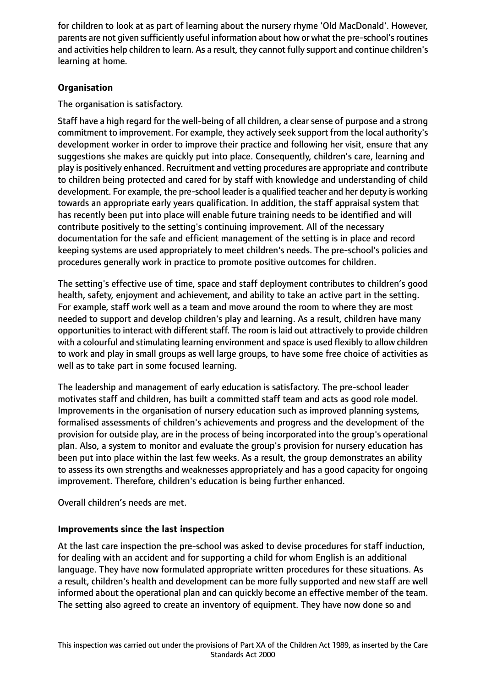for children to look at as part of learning about the nursery rhyme 'Old MacDonald'. However, parents are not given sufficiently useful information about how or what the pre-school's routines and activities help children to learn. As a result, they cannot fully support and continue children's learning at home.

# **Organisation**

The organisation is satisfactory.

Staff have a high regard for the well-being of all children, a clear sense of purpose and a strong commitment to improvement. For example, they actively seek support from the local authority's development worker in order to improve their practice and following her visit, ensure that any suggestions she makes are quickly put into place. Consequently, children's care, learning and play is positively enhanced. Recruitment and vetting procedures are appropriate and contribute to children being protected and cared for by staff with knowledge and understanding of child development. For example, the pre-school leader is a qualified teacher and her deputy is working towards an appropriate early years qualification. In addition, the staff appraisal system that has recently been put into place will enable future training needs to be identified and will contribute positively to the setting's continuing improvement. All of the necessary documentation for the safe and efficient management of the setting is in place and record keeping systems are used appropriately to meet children's needs. The pre-school's policies and procedures generally work in practice to promote positive outcomes for children.

The setting's effective use of time, space and staff deployment contributes to children's good health, safety, enjoyment and achievement, and ability to take an active part in the setting. For example, staff work well as a team and move around the room to where they are most needed to support and develop children's play and learning. As a result, children have many opportunities to interact with different staff. The room is laid out attractively to provide children with a colourful and stimulating learning environment and space is used flexibly to allow children to work and play in small groups as well large groups, to have some free choice of activities as well as to take part in some focused learning.

The leadership and management of early education is satisfactory. The pre-school leader motivates staff and children, has built a committed staff team and acts as good role model. Improvements in the organisation of nursery education such as improved planning systems, formalised assessments of children's achievements and progress and the development of the provision for outside play, are in the process of being incorporated into the group's operational plan. Also, a system to monitor and evaluate the group's provision for nursery education has been put into place within the last few weeks. As a result, the group demonstrates an ability to assess its own strengths and weaknesses appropriately and has a good capacity for ongoing improvement. Therefore, children's education is being further enhanced.

Overall children's needs are met.

# **Improvements since the last inspection**

At the last care inspection the pre-school was asked to devise procedures for staff induction, for dealing with an accident and for supporting a child for whom English is an additional language. They have now formulated appropriate written procedures for these situations. As a result, children's health and development can be more fully supported and new staff are well informed about the operational plan and can quickly become an effective member of the team. The setting also agreed to create an inventory of equipment. They have now done so and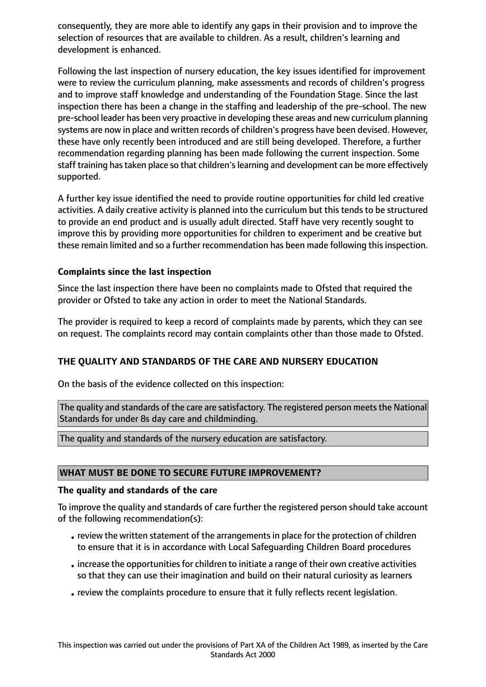consequently, they are more able to identify any gaps in their provision and to improve the selection of resources that are available to children. As a result, children's learning and development is enhanced.

Following the last inspection of nursery education, the key issues identified for improvement were to review the curriculum planning, make assessments and records of children's progress and to improve staff knowledge and understanding of the Foundation Stage. Since the last inspection there has been a change in the staffing and leadership of the pre-school. The new pre-school leader has been very proactive in developing these areas and new curriculum planning systems are now in place and written records of children's progress have been devised. However, these have only recently been introduced and are still being developed. Therefore, a further recommendation regarding planning has been made following the current inspection. Some staff training has taken place so that children's learning and development can be more effectively supported.

A further key issue identified the need to provide routine opportunities for child led creative activities. A daily creative activity is planned into the curriculum but this tends to be structured to provide an end product and is usually adult directed. Staff have very recently sought to improve this by providing more opportunities for children to experiment and be creative but these remain limited and so a further recommendation has been made following this inspection.

#### **Complaints since the last inspection**

Since the last inspection there have been no complaints made to Ofsted that required the provider or Ofsted to take any action in order to meet the National Standards.

The provider is required to keep a record of complaints made by parents, which they can see on request. The complaints record may contain complaints other than those made to Ofsted.

# **THE QUALITY AND STANDARDS OF THE CARE AND NURSERY EDUCATION**

On the basis of the evidence collected on this inspection:

The quality and standards of the care are satisfactory. The registered person meets the National Standards for under 8s day care and childminding.

The quality and standards of the nursery education are satisfactory.

#### **WHAT MUST BE DONE TO SECURE FUTURE IMPROVEMENT?**

#### **The quality and standards of the care**

To improve the quality and standards of care further the registered person should take account of the following recommendation(s):

- review the written statement of the arrangements in place for the protection of children to ensure that it is in accordance with Local Safeguarding Children Board procedures
- increase the opportunities for children to initiate a range of their own creative activities so that they can use their imagination and build on their natural curiosity as learners
- •review the complaints procedure to ensure that it fully reflects recent legislation.